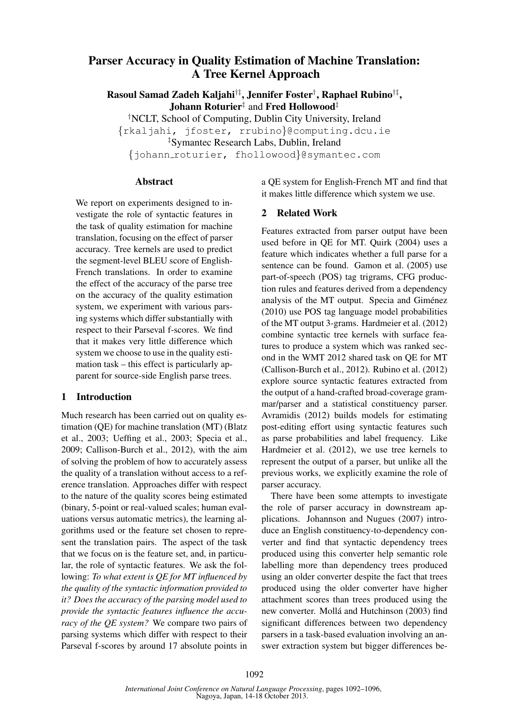# Parser Accuracy in Quality Estimation of Machine Translation: A Tree Kernel Approach

Rasoul Samad Zadeh Kaljahi†‡, Jennifer Foster†, Raphael Rubino†‡, Johann Roturier<sup>‡</sup> and Fred Hollowood<sup>‡</sup>

†NCLT, School of Computing, Dublin City University, Ireland {rkaljahi, jfoster, rrubino}@computing.dcu.ie ‡Symantec Research Labs, Dublin, Ireland {johann roturier, fhollowood}@symantec.com

### Abstract

We report on experiments designed to investigate the role of syntactic features in the task of quality estimation for machine translation, focusing on the effect of parser accuracy. Tree kernels are used to predict the segment-level BLEU score of English-French translations. In order to examine the effect of the accuracy of the parse tree on the accuracy of the quality estimation system, we experiment with various parsing systems which differ substantially with respect to their Parseval f-scores. We find that it makes very little difference which system we choose to use in the quality estimation task – this effect is particularly apparent for source-side English parse trees.

### 1 Introduction

Much research has been carried out on quality estimation (QE) for machine translation (MT) (Blatz et al., 2003; Ueffing et al., 2003; Specia et al., 2009; Callison-Burch et al., 2012), with the aim of solving the problem of how to accurately assess the quality of a translation without access to a reference translation. Approaches differ with respect to the nature of the quality scores being estimated (binary, 5-point or real-valued scales; human evaluations versus automatic metrics), the learning algorithms used or the feature set chosen to represent the translation pairs. The aspect of the task that we focus on is the feature set, and, in particular, the role of syntactic features. We ask the following: *To what extent is QE for MT influenced by the quality of the syntactic information provided to it? Does the accuracy of the parsing model used to provide the syntactic features influence the accuracy of the QE system?* We compare two pairs of parsing systems which differ with respect to their Parseval f-scores by around 17 absolute points in a QE system for English-French MT and find that it makes little difference which system we use.

## 2 Related Work

Features extracted from parser output have been used before in QE for MT. Quirk (2004) uses a feature which indicates whether a full parse for a sentence can be found. Gamon et al. (2005) use part-of-speech (POS) tag trigrams, CFG production rules and features derived from a dependency analysis of the MT output. Specia and Giménez (2010) use POS tag language model probabilities of the MT output 3-grams. Hardmeier et al. (2012) combine syntactic tree kernels with surface features to produce a system which was ranked second in the WMT 2012 shared task on QE for MT (Callison-Burch et al., 2012). Rubino et al. (2012) explore source syntactic features extracted from the output of a hand-crafted broad-coverage grammar/parser and a statistical constituency parser. Avramidis (2012) builds models for estimating post-editing effort using syntactic features such as parse probabilities and label frequency. Like Hardmeier et al. (2012), we use tree kernels to represent the output of a parser, but unlike all the previous works, we explicitly examine the role of parser accuracy.

There have been some attempts to investigate the role of parser accuracy in downstream applications. Johannson and Nugues (2007) introduce an English constituency-to-dependency converter and find that syntactic dependency trees produced using this converter help semantic role labelling more than dependency trees produced using an older converter despite the fact that trees produced using the older converter have higher attachment scores than trees produced using the new converter. Mollá and Hutchinson (2003) find significant differences between two dependency parsers in a task-based evaluation involving an answer extraction system but bigger differences be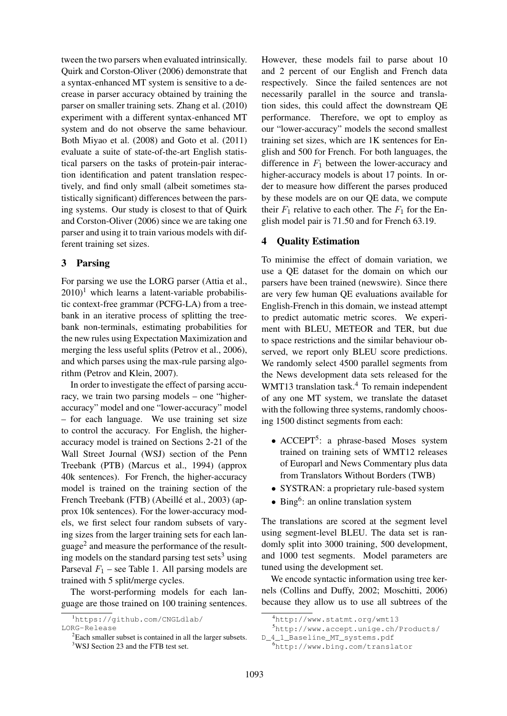tween the two parsers when evaluated intrinsically. Quirk and Corston-Oliver (2006) demonstrate that a syntax-enhanced MT system is sensitive to a decrease in parser accuracy obtained by training the parser on smaller training sets. Zhang et al. (2010) experiment with a different syntax-enhanced MT system and do not observe the same behaviour. Both Miyao et al. (2008) and Goto et al. (2011) evaluate a suite of state-of-the-art English statistical parsers on the tasks of protein-pair interaction identification and patent translation respectively, and find only small (albeit sometimes statistically significant) differences between the parsing systems. Our study is closest to that of Quirk and Corston-Oliver (2006) since we are taking one parser and using it to train various models with different training set sizes.

## 3 Parsing

For parsing we use the LORG parser (Attia et al.,  $2010$ <sup>1</sup> which learns a latent-variable probabilistic context-free grammar (PCFG-LA) from a treebank in an iterative process of splitting the treebank non-terminals, estimating probabilities for the new rules using Expectation Maximization and merging the less useful splits (Petrov et al., 2006), and which parses using the max-rule parsing algorithm (Petrov and Klein, 2007).

In order to investigate the effect of parsing accuracy, we train two parsing models – one "higheraccuracy" model and one "lower-accuracy" model – for each language. We use training set size to control the accuracy. For English, the higheraccuracy model is trained on Sections 2-21 of the Wall Street Journal (WSJ) section of the Penn Treebank (PTB) (Marcus et al., 1994) (approx 40k sentences). For French, the higher-accuracy model is trained on the training section of the French Treebank (FTB) (Abeillé et al., 2003) (approx 10k sentences). For the lower-accuracy models, we first select four random subsets of varying sizes from the larger training sets for each language<sup>2</sup> and measure the performance of the resulting models on the standard parsing test sets<sup>3</sup> using Parseval  $F_1$  – see Table 1. All parsing models are trained with 5 split/merge cycles.

The worst-performing models for each language are those trained on 100 training sentences. However, these models fail to parse about 10 and 2 percent of our English and French data respectively. Since the failed sentences are not necessarily parallel in the source and translation sides, this could affect the downstream QE performance. Therefore, we opt to employ as our "lower-accuracy" models the second smallest training set sizes, which are 1K sentences for English and 500 for French. For both languages, the difference in  $F_1$  between the lower-accuracy and higher-accuracy models is about 17 points. In order to measure how different the parses produced by these models are on our QE data, we compute their  $F_1$  relative to each other. The  $F_1$  for the English model pair is 71.50 and for French 63.19.

# 4 Quality Estimation

To minimise the effect of domain variation, we use a QE dataset for the domain on which our parsers have been trained (newswire). Since there are very few human QE evaluations available for English-French in this domain, we instead attempt to predict automatic metric scores. We experiment with BLEU, METEOR and TER, but due to space restrictions and the similar behaviour observed, we report only BLEU score predictions. We randomly select 4500 parallel segments from the News development data sets released for the WMT13 translation task.<sup>4</sup> To remain independent of any one MT system, we translate the dataset with the following three systems, randomly choosing 1500 distinct segments from each:

- ACCEPT<sup>5</sup>: a phrase-based Moses system trained on training sets of WMT12 releases of Europarl and News Commentary plus data from Translators Without Borders (TWB)
- SYSTRAN: a proprietary rule-based system
- Bing<sup>6</sup>: an online translation system

The translations are scored at the segment level using segment-level BLEU. The data set is randomly split into 3000 training, 500 development, and 1000 test segments. Model parameters are tuned using the development set.

We encode syntactic information using tree kernels (Collins and Duffy, 2002; Moschitti, 2006) because they allow us to use all subtrees of the

<sup>1</sup>https://github.com/CNGLdlab/ LORG-Release

<sup>&</sup>lt;sup>2</sup>Each smaller subset is contained in all the larger subsets. <sup>3</sup>WSJ Section 23 and the FTB test set.

<sup>4</sup>http://www.statmt.org/wmt13

<sup>5</sup>http://www.accept.unige.ch/Products/

D\_4\_1\_Baseline\_MT\_systems.pdf

<sup>6</sup>http://www.bing.com/translator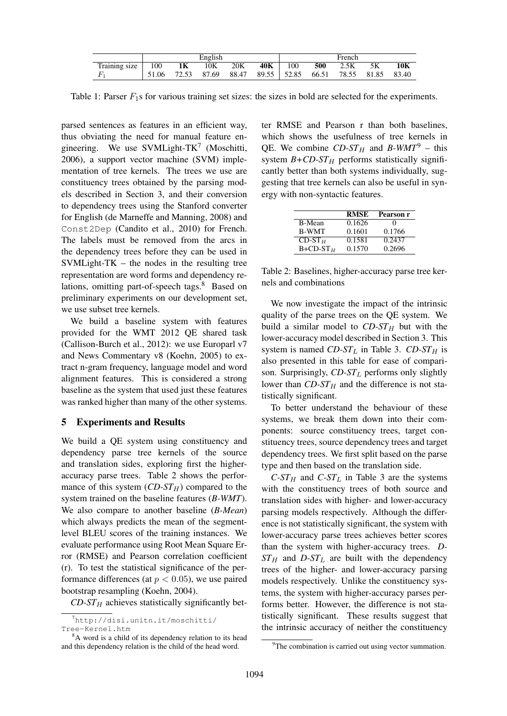|               | English |       |       |       | French        |     |       |       |       |       |
|---------------|---------|-------|-------|-------|---------------|-----|-------|-------|-------|-------|
| Training size | 100     | 1K    | 10K   | 20K   | 40K           | 100 | 500   | 2.5K  | 5K    | 10K   |
|               | 51.06   | 72.53 | 87.69 | 88.47 | 89.55   52.85 |     | 66.51 | 78.55 | 81.85 | 83.40 |

Table 1: Parser  $F_1$ s for various training set sizes: the sizes in bold are selected for the experiments.

parsed sentences as features in an efficient way, thus obviating the need for manual feature engineering. We use SVMLight-TK<sup>7</sup> (Moschitti, 2006), a support vector machine (SVM) implementation of tree kernels. The trees we use are constituency trees obtained by the parsing models described in Section 3, and their conversion to dependency trees using the Stanford converter for English (de Marneffe and Manning, 2008) and Const2Dep (Candito et al., 2010) for French. The labels must be removed from the arcs in the dependency trees before they can be used in SVMLight-TK – the nodes in the resulting tree representation are word forms and dependency relations, omitting part-of-speech tags.<sup>8</sup> Based on preliminary experiments on our development set, we use subset tree kernels.

We build a baseline system with features provided for the WMT 2012 QE shared task (Callison-Burch et al., 2012): we use Europarl v7 and News Commentary v8 (Koehn, 2005) to extract n-gram frequency, language model and word alignment features. This is considered a strong baseline as the system that used just these features was ranked higher than many of the other systems.

# 5 Experiments and Results

We build a QE system using constituency and dependency parse tree kernels of the source and translation sides, exploring first the higheraccuracy parse trees. Table 2 shows the performance of this system  $(CD-ST_H)$  compared to the system trained on the baseline features (*B-WMT*). We also compare to another baseline (*B-Mean*) which always predicts the mean of the segmentlevel BLEU scores of the training instances. We evaluate performance using Root Mean Square Error (RMSE) and Pearson correlation coefficient (r). To test the statistical significance of the performance differences (at  $p < 0.05$ ), we use paired bootstrap resampling (Koehn, 2004).

 $CD-ST_H$  achieves statistically significantly bet-

ter RMSE and Pearson r than both baselines, which shows the usefulness of tree kernels in QE. We combine  $CD$ - $ST_H$  and *B*-WMT<sup>9</sup> – this system  $B + CD - ST_H$  performs statistically significantly better than both systems individually, suggesting that tree kernels can also be useful in synergy with non-syntactic features.

|                 | <b>RMSE</b> | Pearson r         |
|-----------------|-------------|-------------------|
| B-Mean          | 0.1626      | $\mathbf{\Omega}$ |
| <b>B-WMT</b>    | 0.1601      | 0.1766            |
| $CD-STH$        | 0.1581      | 0.2437            |
| $B + CD - ST_H$ | 0.1570      | 0.2696            |

Table 2: Baselines, higher-accuracy parse tree kernels and combinations

We now investigate the impact of the intrinsic quality of the parse trees on the QE system. We build a similar model to  $CD$ - $ST_H$  but with the lower-accuracy model described in Section 3. This system is named *CD-ST<sub>L</sub>* in Table 3. *CD-ST<sub>H</sub>* is also presented in this table for ease of comparison. Surprisingly,  $CD$ - $ST_L$  performs only slightly lower than  $CD$ - $ST_H$  and the difference is not statistically significant.

To better understand the behaviour of these systems, we break them down into their components: source constituency trees, target constituency trees, source dependency trees and target dependency trees. We first split based on the parse type and then based on the translation side.

 $C\text{-}ST_H$  and  $C\text{-}ST_L$  in Table 3 are the systems with the constituency trees of both source and translation sides with higher- and lower-accuracy parsing models respectively. Although the difference is not statistically significant, the system with lower-accuracy parse trees achieves better scores than the system with higher-accuracy trees. *D-* $ST_H$  and *D-ST<sub>L</sub>* are built with the dependency trees of the higher- and lower-accuracy parsing models respectively. Unlike the constituency systems, the system with higher-accuracy parses performs better. However, the difference is not statistically significant. These results suggest that the intrinsic accuracy of neither the constituency

<sup>7</sup>http://disi.unitn.it/moschitti/ Tree-Kernel.htm

<sup>&</sup>lt;sup>8</sup>A word is a child of its dependency relation to its head and this dependency relation is the child of the head word.

<sup>&</sup>lt;sup>9</sup>The combination is carried out using vector summation.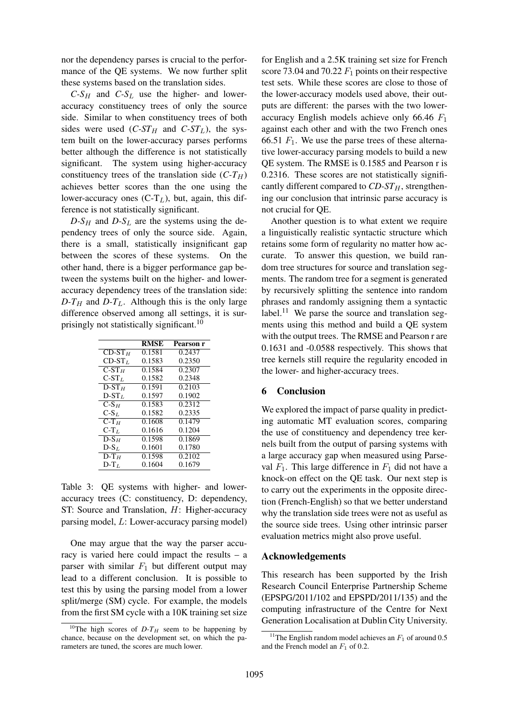nor the dependency parses is crucial to the performance of the QE systems. We now further split these systems based on the translation sides.

 $C-S_H$  and  $C-S_L$  use the higher- and loweraccuracy constituency trees of only the source side. Similar to when constituency trees of both sides were used  $(C\text{-}ST_H$  and  $C\text{-}ST_L$ ), the system built on the lower-accuracy parses performs better although the difference is not statistically significant. The system using higher-accuracy constituency trees of the translation side  $(C-T_H)$ achieves better scores than the one using the lower-accuracy ones  $(C-T_L)$ , but, again, this difference is not statistically significant.

 $D-S_H$  and  $D-S_L$  are the systems using the dependency trees of only the source side. Again, there is a small, statistically insignificant gap between the scores of these systems. On the other hand, there is a bigger performance gap between the systems built on the higher- and loweraccuracy dependency trees of the translation side:  $D-T_H$  and  $D-T_L$ . Although this is the only large difference observed among all settings, it is surprisingly not statistically significant.<sup>10</sup>

|                                          | <b>RMSE</b> | Pearson r |
|------------------------------------------|-------------|-----------|
| $CD-STH$                                 | 0.1581      | 0.2437    |
| $CD-STL$                                 | 0.1583      | 0.2350    |
| $\overline{\text{C}}\text{-}\text{ST}_H$ | 0.1584      | 0.2307    |
| $C-STL$                                  | 0.1582      | 0.2348    |
| $D-STH$                                  | 0.1591      | 0.2103    |
| $D-STL$                                  | 0.1597      | 0.1902    |
| $C-SH$                                   | 0.1583      | 0.2312    |
| $C-S_L$                                  | 0.1582      | 0.2335    |
| $C-T_H$                                  | 0.1608      | 0.1479    |
| $C-T_L$                                  | 0.1616      | 0.1204    |
| $D-SH$                                   | 0.1598      | 0.1869    |
| $D-S_L$                                  | 0.1601      | 0.1780    |
| $D-TH$                                   | 0.1598      | 0.2102    |
| $D-T_L$                                  | 0.1604      | 0.1679    |
|                                          |             |           |

Table 3: QE systems with higher- and loweraccuracy trees (C: constituency, D: dependency, ST: Source and Translation, H: Higher-accuracy parsing model, L: Lower-accuracy parsing model)

One may argue that the way the parser accuracy is varied here could impact the results – a parser with similar  $F_1$  but different output may lead to a different conclusion. It is possible to test this by using the parsing model from a lower split/merge (SM) cycle. For example, the models from the first SM cycle with a 10K training set size

for English and a 2.5K training set size for French score 73.04 and 70.22  $F_1$  points on their respective test sets. While these scores are close to those of the lower-accuracy models used above, their outputs are different: the parses with the two loweraccuracy English models achieve only 66.46  $F_1$ against each other and with the two French ones 66.51  $F_1$ . We use the parse trees of these alternative lower-accuracy parsing models to build a new QE system. The RMSE is 0.1585 and Pearson r is 0.2316. These scores are not statistically significantly different compared to  $CD$ - $ST_H$ , strengthening our conclusion that intrinsic parse accuracy is not crucial for QE.

Another question is to what extent we require a linguistically realistic syntactic structure which retains some form of regularity no matter how accurate. To answer this question, we build random tree structures for source and translation segments. The random tree for a segment is generated by recursively splitting the sentence into random phrases and randomly assigning them a syntactic label.<sup>11</sup> We parse the source and translation segments using this method and build a QE system with the output trees. The RMSE and Pearson r are 0.1631 and -0.0588 respectively. This shows that tree kernels still require the regularity encoded in the lower- and higher-accuracy trees.

### 6 Conclusion

We explored the impact of parse quality in predicting automatic MT evaluation scores, comparing the use of constituency and dependency tree kernels built from the output of parsing systems with a large accuracy gap when measured using Parseval  $F_1$ . This large difference in  $F_1$  did not have a knock-on effect on the QE task. Our next step is to carry out the experiments in the opposite direction (French-English) so that we better understand why the translation side trees were not as useful as the source side trees. Using other intrinsic parser evaluation metrics might also prove useful.

### Acknowledgements

This research has been supported by the Irish Research Council Enterprise Partnership Scheme (EPSPG/2011/102 and EPSPD/2011/135) and the computing infrastructure of the Centre for Next Generation Localisation at Dublin City University.

<sup>&</sup>lt;sup>10</sup>The high scores of  $D-T_H$  seem to be happening by chance, because on the development set, on which the parameters are tuned, the scores are much lower.

<sup>&</sup>lt;sup>11</sup>The English random model achieves an  $F_1$  of around 0.5 and the French model an  $F_1$  of 0.2.